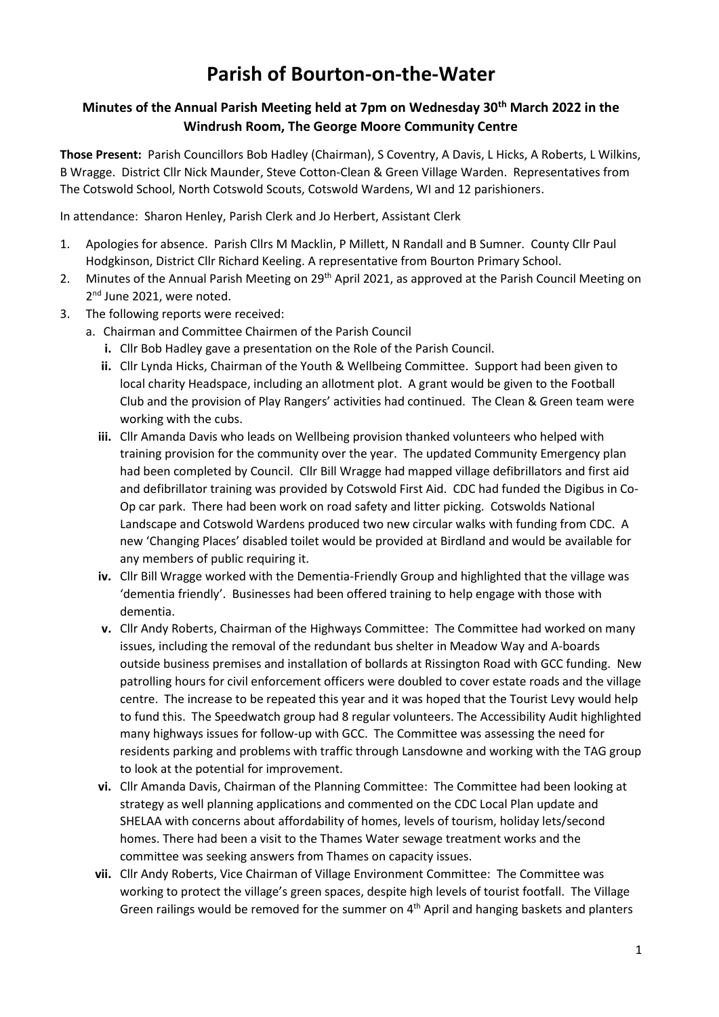## **Parish of Bourton-on-the-Water**

## **Minutes of the Annual Parish Meeting held at 7pm on Wednesday 30th March 2022 in the Windrush Room, The George Moore Community Centre**

**Those Present:** Parish Councillors Bob Hadley (Chairman), S Coventry, A Davis, L Hicks, A Roberts, L Wilkins, B Wragge. District Cllr Nick Maunder, Steve Cotton-Clean & Green Village Warden. Representatives from The Cotswold School, North Cotswold Scouts, Cotswold Wardens, WI and 12 parishioners.

In attendance: Sharon Henley, Parish Clerk and Jo Herbert, Assistant Clerk

- 1. Apologies for absence. Parish Cllrs M Macklin, P Millett, N Randall and B Sumner. County Cllr Paul Hodgkinson, District Cllr Richard Keeling. A representative from Bourton Primary School.
- 2. Minutes of the Annual Parish Meeting on 29<sup>th</sup> April 2021, as approved at the Parish Council Meeting on 2<sup>nd</sup> June 2021, were noted.
- 3. The following reports were received:
	- a. Chairman and Committee Chairmen of the Parish Council
		- **i.** Cllr Bob Hadley gave a presentation on the Role of the Parish Council.
		- **ii.** Cllr Lynda Hicks, Chairman of the Youth & Wellbeing Committee. Support had been given to local charity Headspace, including an allotment plot. A grant would be given to the Football Club and the provision of Play Rangers' activities had continued. The Clean & Green team were working with the cubs.
		- **iii.** Cllr Amanda Davis who leads on Wellbeing provision thanked volunteers who helped with training provision for the community over the year. The updated Community Emergency plan had been completed by Council. Cllr Bill Wragge had mapped village defibrillators and first aid and defibrillator training was provided by Cotswold First Aid. CDC had funded the Digibus in Co-Op car park. There had been work on road safety and litter picking. Cotswolds National Landscape and Cotswold Wardens produced two new circular walks with funding from CDC. A new 'Changing Places' disabled toilet would be provided at Birdland and would be available for any members of public requiring it.
		- **iv.** Cllr Bill Wragge worked with the Dementia-Friendly Group and highlighted that the village was 'dementia friendly'. Businesses had been offered training to help engage with those with dementia.
		- **v.** Cllr Andy Roberts, Chairman of the Highways Committee: The Committee had worked on many issues, including the removal of the redundant bus shelter in Meadow Way and A-boards outside business premises and installation of bollards at Rissington Road with GCC funding. New patrolling hours for civil enforcement officers were doubled to cover estate roads and the village centre. The increase to be repeated this year and it was hoped that the Tourist Levy would help to fund this. The Speedwatch group had 8 regular volunteers. The Accessibility Audit highlighted many highways issues for follow-up with GCC. The Committee was assessing the need for residents parking and problems with traffic through Lansdowne and working with the TAG group to look at the potential for improvement.
		- **vi.** Cllr Amanda Davis, Chairman of the Planning Committee: The Committee had been looking at strategy as well planning applications and commented on the CDC Local Plan update and SHELAA with concerns about affordability of homes, levels of tourism, holiday lets/second homes. There had been a visit to the Thames Water sewage treatment works and the committee was seeking answers from Thames on capacity issues.
		- **vii.** Cllr Andy Roberts, Vice Chairman of Village Environment Committee: The Committee was working to protect the village's green spaces, despite high levels of tourist footfall. The Village Green railings would be removed for the summer on 4<sup>th</sup> April and hanging baskets and planters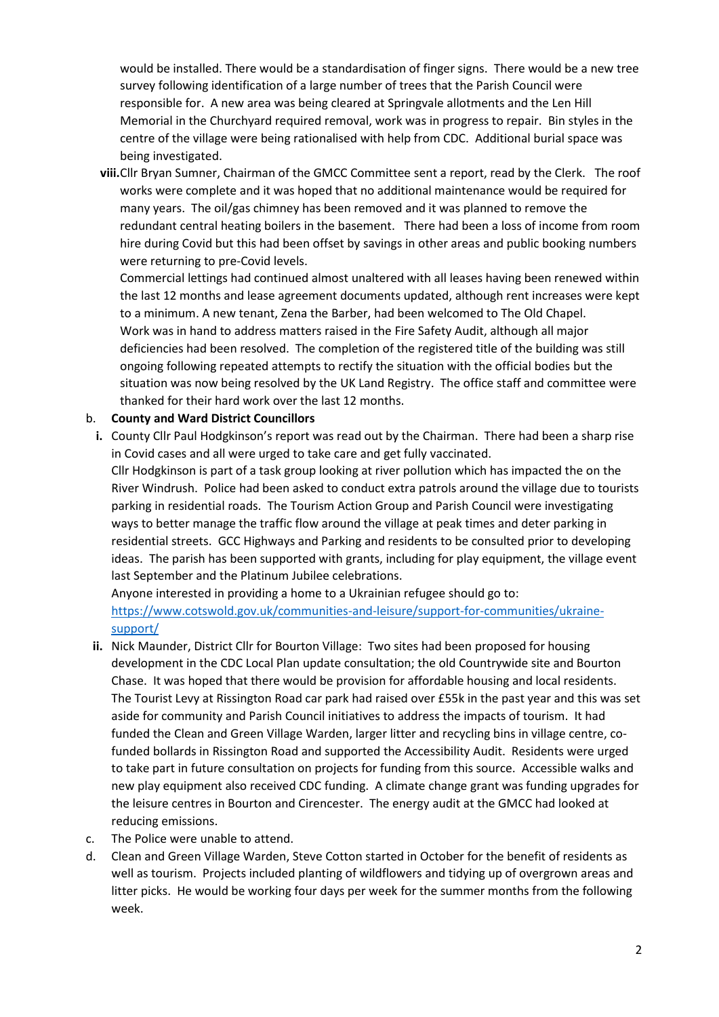would be installed. There would be a standardisation of finger signs. There would be a new tree survey following identification of a large number of trees that the Parish Council were responsible for. A new area was being cleared at Springvale allotments and the Len Hill Memorial in the Churchyard required removal, work was in progress to repair. Bin styles in the centre of the village were being rationalised with help from CDC. Additional burial space was being investigated.

**viii.**Cllr Bryan Sumner, Chairman of the GMCC Committee sent a report, read by the Clerk. The roof works were complete and it was hoped that no additional maintenance would be required for many years. The oil/gas chimney has been removed and it was planned to remove the redundant central heating boilers in the basement. There had been a loss of income from room hire during Covid but this had been offset by savings in other areas and public booking numbers were returning to pre-Covid levels.

Commercial lettings had continued almost unaltered with all leases having been renewed within the last 12 months and lease agreement documents updated, although rent increases were kept to a minimum. A new tenant, Zena the Barber, had been welcomed to The Old Chapel. Work was in hand to address matters raised in the Fire Safety Audit, although all major deficiencies had been resolved. The completion of the registered title of the building was still ongoing following repeated attempts to rectify the situation with the official bodies but the situation was now being resolved by the UK Land Registry. The office staff and committee were thanked for their hard work over the last 12 months.

## b. **County and Ward District Councillors**

**i.** County Cllr Paul Hodgkinson's report was read out by the Chairman. There had been a sharp rise in Covid cases and all were urged to take care and get fully vaccinated. Cllr Hodgkinson is part of a task group looking at river pollution which has impacted the on the River Windrush. Police had been asked to conduct extra patrols around the village due to tourists parking in residential roads. The Tourism Action Group and Parish Council were investigating ways to better manage the traffic flow around the village at peak times and deter parking in residential streets. GCC Highways and Parking and residents to be consulted prior to developing ideas. The parish has been supported with grants, including for play equipment, the village event last September and the Platinum Jubilee celebrations.

Anyone interested in providing a home to a Ukrainian refugee should go to: [https://www.cotswold.gov.uk/communities-and-leisure/support-for-communities/ukraine](https://www.cotswold.gov.uk/communities-and-leisure/support-for-communities/ukraine-support/)[support/](https://www.cotswold.gov.uk/communities-and-leisure/support-for-communities/ukraine-support/)

- **ii.** Nick Maunder, District Cllr for Bourton Village: Two sites had been proposed for housing development in the CDC Local Plan update consultation; the old Countrywide site and Bourton Chase. It was hoped that there would be provision for affordable housing and local residents. The Tourist Levy at Rissington Road car park had raised over £55k in the past year and this was set aside for community and Parish Council initiatives to address the impacts of tourism. It had funded the Clean and Green Village Warden, larger litter and recycling bins in village centre, cofunded bollards in Rissington Road and supported the Accessibility Audit. Residents were urged to take part in future consultation on projects for funding from this source. Accessible walks and new play equipment also received CDC funding. A climate change grant was funding upgrades for the leisure centres in Bourton and Cirencester. The energy audit at the GMCC had looked at reducing emissions.
- c. The Police were unable to attend.
- d. Clean and Green Village Warden, Steve Cotton started in October for the benefit of residents as well as tourism. Projects included planting of wildflowers and tidying up of overgrown areas and litter picks. He would be working four days per week for the summer months from the following week.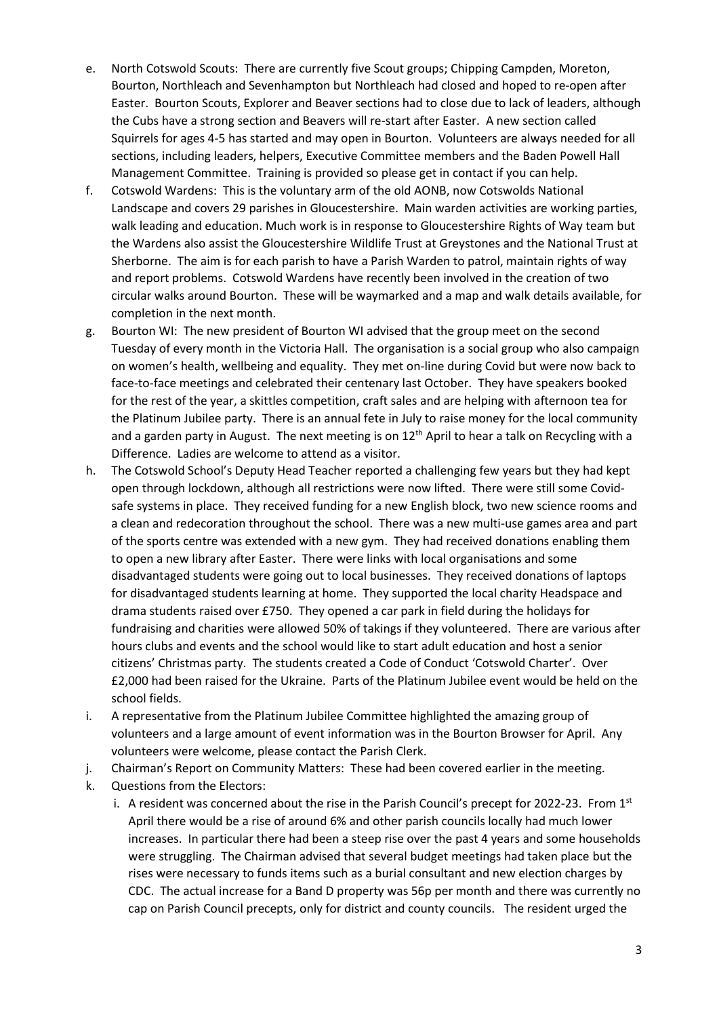- e. North Cotswold Scouts: There are currently five Scout groups; Chipping Campden, Moreton, Bourton, Northleach and Sevenhampton but Northleach had closed and hoped to re-open after Easter. Bourton Scouts, Explorer and Beaver sections had to close due to lack of leaders, although the Cubs have a strong section and Beavers will re-start after Easter. A new section called Squirrels for ages 4-5 has started and may open in Bourton. Volunteers are always needed for all sections, including leaders, helpers, Executive Committee members and the Baden Powell Hall Management Committee. Training is provided so please get in contact if you can help.
- f. Cotswold Wardens: This is the voluntary arm of the old AONB, now Cotswolds National Landscape and covers 29 parishes in Gloucestershire. Main warden activities are working parties, walk leading and education. Much work is in response to Gloucestershire Rights of Way team but the Wardens also assist the Gloucestershire Wildlife Trust at Greystones and the National Trust at Sherborne. The aim is for each parish to have a Parish Warden to patrol, maintain rights of way and report problems. Cotswold Wardens have recently been involved in the creation of two circular walks around Bourton. These will be waymarked and a map and walk details available, for completion in the next month.
- g. Bourton WI: The new president of Bourton WI advised that the group meet on the second Tuesday of every month in the Victoria Hall. The organisation is a social group who also campaign on women's health, wellbeing and equality. They met on-line during Covid but were now back to face-to-face meetings and celebrated their centenary last October. They have speakers booked for the rest of the year, a skittles competition, craft sales and are helping with afternoon tea for the Platinum Jubilee party. There is an annual fete in July to raise money for the local community and a garden party in August. The next meeting is on 12<sup>th</sup> April to hear a talk on Recycling with a Difference. Ladies are welcome to attend as a visitor.
- h. The Cotswold School's Deputy Head Teacher reported a challenging few years but they had kept open through lockdown, although all restrictions were now lifted. There were still some Covidsafe systems in place. They received funding for a new English block, two new science rooms and a clean and redecoration throughout the school. There was a new multi-use games area and part of the sports centre was extended with a new gym. They had received donations enabling them to open a new library after Easter. There were links with local organisations and some disadvantaged students were going out to local businesses. They received donations of laptops for disadvantaged students learning at home. They supported the local charity Headspace and drama students raised over £750. They opened a car park in field during the holidays for fundraising and charities were allowed 50% of takings if they volunteered. There are various after hours clubs and events and the school would like to start adult education and host a senior citizens' Christmas party. The students created a Code of Conduct 'Cotswold Charter'. Over £2,000 had been raised for the Ukraine. Parts of the Platinum Jubilee event would be held on the school fields.
- i. A representative from the Platinum Jubilee Committee highlighted the amazing group of volunteers and a large amount of event information was in the Bourton Browser for April. Any volunteers were welcome, please contact the Parish Clerk.
- j. Chairman's Report on Community Matters: These had been covered earlier in the meeting.
- k. Questions from the Electors:
	- i. A resident was concerned about the rise in the Parish Council's precept for 2022-23. From  $1<sup>st</sup>$ April there would be a rise of around 6% and other parish councils locally had much lower increases. In particular there had been a steep rise over the past 4 years and some households were struggling. The Chairman advised that several budget meetings had taken place but the rises were necessary to funds items such as a burial consultant and new election charges by CDC. The actual increase for a Band D property was 56p per month and there was currently no cap on Parish Council precepts, only for district and county councils. The resident urged the